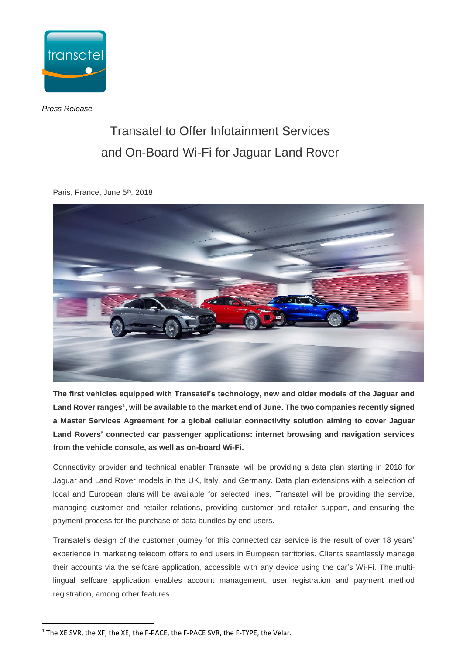

*Press Release*

## Transatel to Offer Infotainment Services and On-Board Wi-Fi for Jaguar Land Rover

Paris, France, June 5<sup>th</sup>, 2018



**The first vehicles equipped with Transatel's technology, new and older models of the Jaguar and Land Rover ranges 1 , will be available to the market end of June. The two companies recently signed a Master Services Agreement for a global cellular connectivity solution aiming to cover Jaguar Land Rovers' connected car passenger applications: internet browsing and navigation services from the vehicle console, as well as on-board Wi-Fi.** 

Connectivity provider and technical enabler Transatel will be providing a data plan starting in 2018 for Jaguar and Land Rover models in the UK, Italy, and Germany. Data plan extensions with a selection of local and European plans will be available for selected lines. Transatel will be providing the service, managing customer and retailer relations, providing customer and retailer support, and ensuring the payment process for the purchase of data bundles by end users.

Transatel's design of the customer journey for this connected car service is the result of over 18 years' experience in marketing telecom offers to end users in European territories. Clients seamlessly manage their accounts via the selfcare application, accessible with any device using the car's Wi-Fi. The multilingual selfcare application enables account management, user registration and payment method registration, among other features.

 $\overline{a}$ 

<sup>&</sup>lt;sup>1</sup> The XE SVR, the XF, the XE, the F-PACE, the F-PACE SVR, the F-TYPE, the Velar.